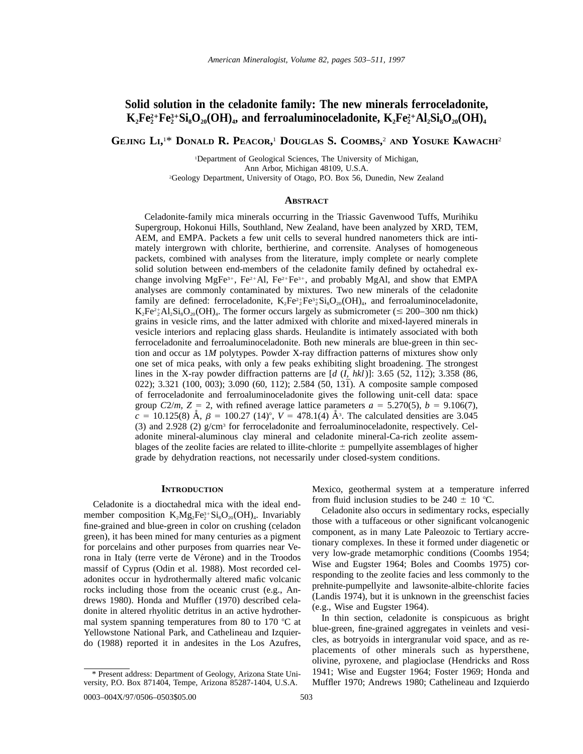# **Solid solution in the celadonite family: The new minerals ferroceladonite,**  $\mathbf{K}_2\mathbf{F} \mathbf{e}_2^{2+}\mathbf{F} \mathbf{e}_2^{3+}\mathbf{Si}_8\mathbf{O}_{20}(\mathbf{OH})_{4}$ , and ferroaluminoceladonite,  $\mathbf{K}_2\mathbf{F} \mathbf{e}_2^{2+}\mathbf{Al}_2\mathbf{Si}_8\mathbf{O}_{20}(\mathbf{OH})_{4}$

**GEJING LI,** 1 \* **DONALD R. PEACOR,** <sup>1</sup> **DOUGLAS S. COOMBS,** <sup>2</sup> **AND YOSUKE KAWACHI**<sup>2</sup>

1 Department of Geological Sciences, The University of Michigan, Ann Arbor, Michigan 48109, U.S.A.

2 Geology Department, University of Otago, P.O. Box 56, Dunedin, New Zealand

#### **ABSTRACT**

Celadonite-family mica minerals occurring in the Triassic Gavenwood Tuffs, Murihiku Supergroup, Hokonui Hills, Southland, New Zealand, have been analyzed by XRD, TEM, AEM, and EMPA. Packets a few unit cells to several hundred nanometers thick are intimately intergrown with chlorite, berthierine, and corrensite. Analyses of homogeneous packets, combined with analyses from the literature, imply complete or nearly complete solid solution between end-members of the celadonite family defined by octahedral exchange involving MgFe<sup>3+</sup>, Fe<sup>2+</sup>Al, Fe<sup>2+</sup>Fe<sup>3+</sup>, and probably MgAl, and show that EMPA analyses are commonly contaminated by mixtures. Two new minerals of the celadonite family are defined: ferroceladonite,  $K_2Fe^{2+}_2Fe^{3+}_2Si_8O_{20}(OH)_4$ , and ferroaluminoceladonite,  $K_2Fe^{2+}\text{Al}_2\text{Si}_8\text{O}_{20}(\text{OH})_4$ . The former occurs largely as submicrometer ( $\leq 200-300$  nm thick) grains in vesicle rims, and the latter admixed with chlorite and mixed-layered minerals in vesicle interiors and replacing glass shards. Heulandite is intimately associated with both ferroceladonite and ferroaluminoceladonite. Both new minerals are blue-green in thin section and occur as 1*M* polytypes. Powder X-ray diffraction patterns of mixtures show only one set of mica peaks, with only a few peaks exhibiting slight broadening. The strongest lines in the X-ray powder diffraction patterns are  $[d (I, hkl)]$ : 3.65 (52, 112); 3.358 (86, 022); 3.321 (100, 003); 3.090 (60, 112); 2.584 (50, 131). A composite sample composed of ferroceladonite and ferroaluminoceladonite gives the following unit-cell data: space group  $C2/m$ ,  $Z = 2$ , with refined average lattice parameters  $a = 5.270(5)$ ,  $b = 9.106(7)$ ,  $\vec{c}$  = 10.125(8) Å,  $\beta$  = 100.27 (14)°,  $V = 478.1(4)$  Å<sup>3</sup>. The calculated densities are 3.045 (3) and 2.928 (2)  $g/cm^3$  for ferroceladonite and ferroaluminoceladonite, respectively. Celadonite mineral-aluminous clay mineral and celadonite mineral-Ca-rich zeolite assemblages of the zeolite facies are related to illite-chlorite  $\pm$  pumpellyite assemblages of higher grade by dehydration reactions, not necessarily under closed-system conditions.

#### **INTRODUCTION**

Celadonite is a dioctahedral mica with the ideal endmember composition  $K_2Mg_2Fe^{3+}_2Si_8O_{20}(OH)_4$ . Invariably fine-grained and blue-green in color on crushing (celadon green), it has been mined for many centuries as a pigment for porcelains and other purposes from quarries near Verona in Italy (terre verte de Vérone) and in the Troodos massif of Cyprus (Odin et al. 1988). Most recorded celadonites occur in hydrothermally altered mafic volcanic rocks including those from the oceanic crust (e.g., Andrews 1980). Honda and Muffler (1970) described celadonite in altered rhyolitic detritus in an active hydrothermal system spanning temperatures from 80 to 170  $\degree$ C at Yellowstone National Park, and Cathelineau and Izquierdo (1988) reported it in andesites in the Los Azufres,

0003-004X/97/0506-0503\$05.00 503

Mexico, geothermal system at a temperature inferred from fluid inclusion studies to be  $240 \pm 10$  °C. Celadonite also occurs in sedimentary rocks, especially

those with a tuffaceous or other significant volcanogenic component, as in many Late Paleozoic to Tertiary accretionary complexes. In these it formed under diagenetic or very low-grade metamorphic conditions (Coombs 1954; Wise and Eugster 1964; Boles and Coombs 1975) corresponding to the zeolite facies and less commonly to the prehnite-pumpellyite and lawsonite-albite-chlorite facies (Landis 1974), but it is unknown in the greenschist facies (e.g., Wise and Eugster 1964).

In thin section, celadonite is conspicuous as bright blue-green, fine-grained aggregates in veinlets and vesicles, as botryoids in intergranular void space, and as replacements of other minerals such as hypersthene, olivine, pyroxene, and plagioclase (Hendricks and Ross 1941; Wise and Eugster 1964; Foster 1969; Honda and Muffler 1970; Andrews 1980; Cathelineau and Izquierdo

<sup>\*</sup> Present address: Department of Geology, Arizona State University, P.O. Box 871404, Tempe, Arizona 85287-1404, U.S.A.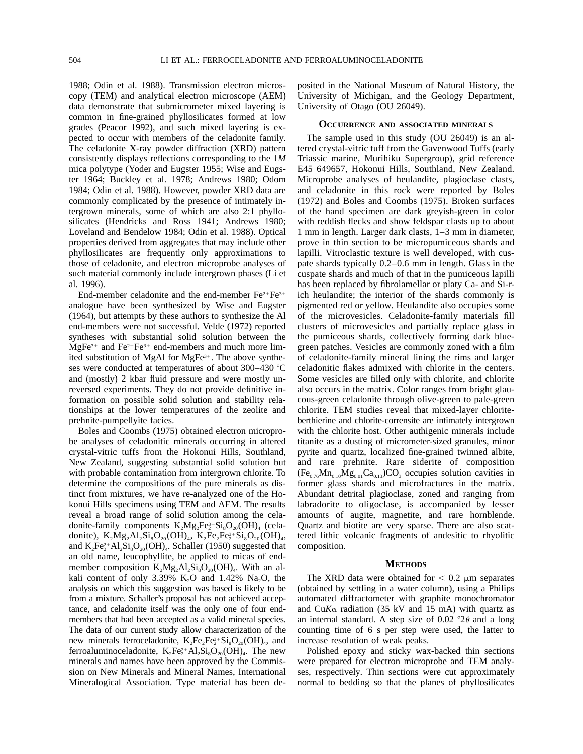1988; Odin et al. 1988). Transmission electron microscopy (TEM) and analytical electron microscope (AEM) data demonstrate that submicrometer mixed layering is common in fine-grained phyllosilicates formed at low grades (Peacor 1992), and such mixed layering is expected to occur with members of the celadonite family. The celadonite X-ray powder diffraction (XRD) pattern consistently displays reflections corresponding to the 1*M* mica polytype (Yoder and Eugster 1955; Wise and Eugster 1964; Buckley et al. 1978; Andrews 1980; Odom 1984; Odin et al. 1988). However, powder XRD data are commonly complicated by the presence of intimately intergrown minerals, some of which are also 2:1 phyllosilicates (Hendricks and Ross 1941; Andrews 1980; Loveland and Bendelow 1984; Odin et al. 1988). Optical properties derived from aggregates that may include other phyllosilicates are frequently only approximations to those of celadonite, and electron microprobe analyses of such material commonly include intergrown phases (Li et al. 1996).

End-member celadonite and the end-member  $Fe^{2+}Fe^{3+}$ analogue have been synthesized by Wise and Eugster (1964), but attempts by these authors to synthesize the Al end-members were not successful. Velde (1972) reported syntheses with substantial solid solution between the  $MgFe<sup>3+</sup>$  and  $Fe<sup>2+</sup>Fe<sup>3+</sup>$  end-members and much more limited substitution of MgAl for MgFe $3+$ . The above syntheses were conducted at temperatures of about 300–430  $^{\circ}$ C and (mostly) 2 kbar fluid pressure and were mostly unreversed experiments. They do not provide definitive information on possible solid solution and stability relationships at the lower temperatures of the zeolite and prehnite-pumpellyite facies.

Boles and Coombs (1975) obtained electron microprobe analyses of celadonitic minerals occurring in altered crystal-vitric tuffs from the Hokonui Hills, Southland, New Zealand, suggesting substantial solid solution but with probable contamination from intergrown chlorite. To determine the compositions of the pure minerals as distinct from mixtures, we have re-analyzed one of the Hokonui Hills specimens using TEM and AEM. The results reveal a broad range of solid solution among the celadonite-family components  $K_2Mg_2Fe^{3+}_2Si_8O_{20}(OH)_4$  (celadonite),  $K_2Mg_2Al_2Si_8O_{20}(OH)_4$ ,  $K_2Fe_2Fe_2^{3+}Si_8O_{20}(OH)_4$ , and  $K_2Fe^{2+}_2Al_2Si_8O_{20}(OH)_4$ . Schaller (1950) suggested that an old name, leucophyllite, be applied to micas of endmember composition  $K_2Mg_2Al_2Si_8O_{20}(OH)_4$ . With an alkali content of only  $3.39\%$  K<sub>2</sub>O and  $1.42\%$  Na<sub>2</sub>O, the analysis on which this suggestion was based is likely to be from a mixture. Schaller's proposal has not achieved acceptance, and celadonite itself was the only one of four endmembers that had been accepted as a valid mineral species. The data of our current study allow characterization of the new minerals ferroceladonite,  $K_2Fe_2Fe_2^{3+}Si_8O_{20}(OH)_4$ , and ferroaluminoceladonite,  $K_2Fe^{2+}_2Al_2Si_8O_{20}(OH)_4$ . The new minerals and names have been approved by the Commission on New Minerals and Mineral Names, International Mineralogical Association. Type material has been deposited in the National Museum of Natural History, the University of Michigan, and the Geology Department, University of Otago (OU 26049).

#### **OCCURRENCE AND ASSOCIATED MINERALS**

The sample used in this study (OU 26049) is an altered crystal-vitric tuff from the Gavenwood Tuffs (early Triassic marine, Murihiku Supergroup), grid reference E45 649657, Hokonui Hills, Southland, New Zealand. Microprobe analyses of heulandite, plagioclase clasts, and celadonite in this rock were reported by Boles (1972) and Boles and Coombs (1975). Broken surfaces of the hand specimen are dark greyish-green in color with reddish flecks and show feldspar clasts up to about 1 mm in length. Larger dark clasts, 1–3 mm in diameter, prove in thin section to be micropumiceous shards and lapilli. Vitroclastic texture is well developed, with cuspate shards typically 0.2–0.6 mm in length. Glass in the cuspate shards and much of that in the pumiceous lapilli has been replaced by fibrolamellar or platy Ca- and Si-rich heulandite; the interior of the shards commonly is pigmented red or yellow. Heulandite also occupies some of the microvesicles. Celadonite-family materials fill clusters of microvesicles and partially replace glass in the pumiceous shards, collectively forming dark bluegreen patches. Vesicles are commonly zoned with a film of celadonite-family mineral lining the rims and larger celadonitic flakes admixed with chlorite in the centers. Some vesicles are filled only with chlorite, and chlorite also occurs in the matrix. Color ranges from bright glaucous-green celadonite through olive-green to pale-green chlorite. TEM studies reveal that mixed-layer chloriteberthierine and chlorite-corrensite are intimately intergrown with the chlorite host. Other authigenic minerals include titanite as a dusting of micrometer-sized granules, minor pyrite and quartz, localized fine-grained twinned albite, and rare prehnite. Rare siderite of composition  $(Fe<sub>0.76</sub>Mn<sub>0.10</sub>Mg<sub>0.01</sub>Ca<sub>0.13</sub>)CO<sub>3</sub>$  occupies solution cavities in former glass shards and microfractures in the matrix. Abundant detrital plagioclase, zoned and ranging from labradorite to oligoclase, is accompanied by lesser amounts of augite, magnetite, and rare hornblende. Quartz and biotite are very sparse. There are also scattered lithic volcanic fragments of andesitic to rhyolitic composition.

## **METHODS**

The XRD data were obtained for  $< 0.2 \mu$ m separates (obtained by settling in a water column), using a Philips automated diffractometer with graphite monochromator and  $CuK\alpha$  radiation (35 kV and 15 mA) with quartz as an internal standard. A step size of 0.02  $\degree$ 2 $\theta$  and a long counting time of 6 s per step were used, the latter to increase resolution of weak peaks.

Polished epoxy and sticky wax-backed thin sections were prepared for electron microprobe and TEM analyses, respectively. Thin sections were cut approximately normal to bedding so that the planes of phyllosilicates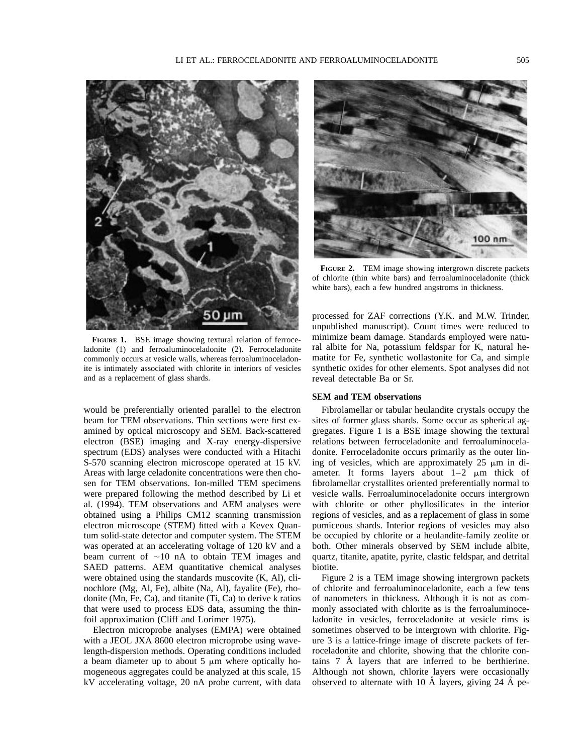

**FIGURE 1.** BSE image showing textural relation of ferroceladonite (1) and ferroaluminoceladonite (2). Ferroceladonite commonly occurs at vesicle walls, whereas ferroaluminoceladonite is intimately associated with chlorite in interiors of vesicles and as a replacement of glass shards.

would be preferentially oriented parallel to the electron beam for TEM observations. Thin sections were first examined by optical microscopy and SEM. Back-scattered electron (BSE) imaging and X-ray energy-dispersive spectrum (EDS) analyses were conducted with a Hitachi S-570 scanning electron microscope operated at 15 kV. Areas with large celadonite concentrations were then chosen for TEM observations. Ion-milled TEM specimens were prepared following the method described by Li et al. (1994). TEM observations and AEM analyses were obtained using a Philips CM12 scanning transmission electron microscope (STEM) fitted with a Kevex Quantum solid-state detector and computer system. The STEM was operated at an accelerating voltage of 120 kV and a beam current of  $\sim 10$  nA to obtain TEM images and SAED patterns. AEM quantitative chemical analyses were obtained using the standards muscovite (K, Al), clinochlore (Mg, Al, Fe), albite (Na, Al), fayalite (Fe), rhodonite (Mn, Fe, Ca), and titanite (Ti, Ca) to derive k ratios that were used to process EDS data, assuming the thinfoil approximation (Cliff and Lorimer 1975).

Electron microprobe analyses (EMPA) were obtained with a JEOL JXA 8600 electron microprobe using wavelength-dispersion methods. Operating conditions included a beam diameter up to about  $5 \mu m$  where optically homogeneous aggregates could be analyzed at this scale, 15 kV accelerating voltage, 20 nA probe current, with data



**FIGURE 2.** TEM image showing intergrown discrete packets of chlorite (thin white bars) and ferroaluminoceladonite (thick white bars), each a few hundred angstroms in thickness.

processed for ZAF corrections (Y.K. and M.W. Trinder, unpublished manuscript). Count times were reduced to minimize beam damage. Standards employed were natural albite for Na, potassium feldspar for K, natural hematite for Fe, synthetic wollastonite for Ca, and simple synthetic oxides for other elements. Spot analyses did not reveal detectable Ba or Sr.

## **SEM and TEM observations**

Fibrolamellar or tabular heulandite crystals occupy the sites of former glass shards. Some occur as spherical aggregates. Figure 1 is a BSE image showing the textural relations between ferroceladonite and ferroaluminoceladonite. Ferroceladonite occurs primarily as the outer lining of vesicles, which are approximately  $25 \mu m$  in diameter. It forms layers about  $1-2$   $\mu$ m thick of fibrolamellar crystallites oriented preferentially normal to vesicle walls. Ferroaluminoceladonite occurs intergrown with chlorite or other phyllosilicates in the interior regions of vesicles, and as a replacement of glass in some pumiceous shards. Interior regions of vesicles may also be occupied by chlorite or a heulandite-family zeolite or both. Other minerals observed by SEM include albite, quartz, titanite, apatite, pyrite, clastic feldspar, and detrital biotite.

Figure 2 is a TEM image showing intergrown packets of chlorite and ferroaluminoceladonite, each a few tens of nanometers in thickness. Although it is not as commonly associated with chlorite as is the ferroaluminoceladonite in vesicles, ferroceladonite at vesicle rims is sometimes observed to be intergrown with chlorite. Figure 3 is a lattice-fringe image of discrete packets of ferroceladonite and chlorite, showing that the chlorite contains  $7 \text{ Å}$  layers that are inferred to be berthierine. Although not shown, chlorite layers were occasionally observed to alternate with 10  $\AA$  layers, giving 24  $\AA$  pe-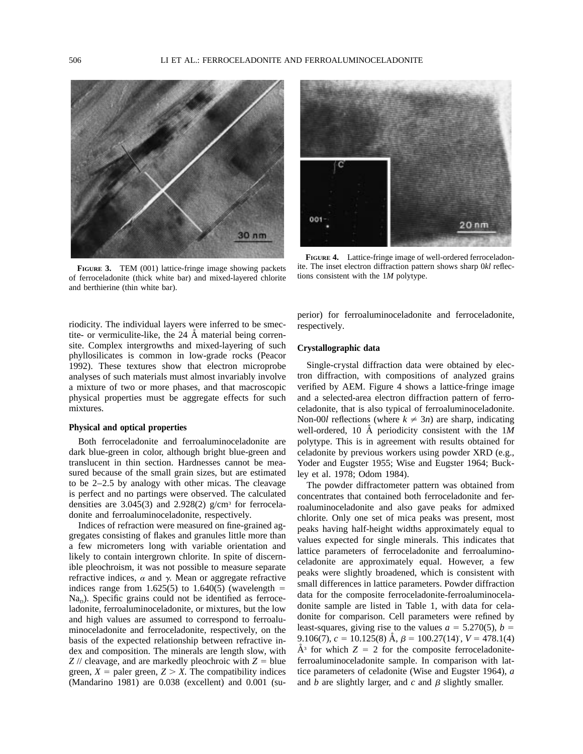

**FIGURE 3.** TEM (001) lattice-fringe image showing packets of ferroceladonite (thick white bar) and mixed-layered chlorite and berthierine (thin white bar).

riodicity. The individual layers were inferred to be smectite- or vermiculite-like, the  $24 \text{ Å}$  material being corrensite. Complex intergrowths and mixed-layering of such phyllosilicates is common in low-grade rocks (Peacor 1992). These textures show that electron microprobe analyses of such materials must almost invariably involve a mixture of two or more phases, and that macroscopic physical properties must be aggregate effects for such mixtures.

#### **Physical and optical properties**

Both ferroceladonite and ferroaluminoceladonite are dark blue-green in color, although bright blue-green and translucent in thin section. Hardnesses cannot be measured because of the small grain sizes, but are estimated to be 2–2.5 by analogy with other micas. The cleavage is perfect and no partings were observed. The calculated densities are  $3.045(3)$  and  $2.928(2)$  g/cm<sup>3</sup> for ferroceladonite and ferroaluminoceladonite, respectively.

Indices of refraction were measured on fine-grained aggregates consisting of flakes and granules little more than a few micrometers long with variable orientation and likely to contain intergrown chlorite. In spite of discernible pleochroism, it was not possible to measure separate refractive indices,  $\alpha$  and  $\gamma$ . Mean or aggregate refractive indices range from 1.625(5) to 1.640(5) (wavelength  $=$  $Na<sub>p</sub>$ ). Specific grains could not be identified as ferroceladonite, ferroaluminoceladonite, or mixtures, but the low and high values are assumed to correspond to ferroaluminoceladonite and ferroceladonite, respectively, on the basis of the expected relationship between refractive index and composition. The minerals are length slow, with  $Z$  // cleavage, and are markedly pleochroic with  $Z =$  blue green,  $X =$  paler green,  $Z > X$ . The compatibility indices (Mandarino 1981) are 0.038 (excellent) and 0.001 (su-



**FIGURE 4.** Lattice-fringe image of well-ordered ferroceladonite. The inset electron diffraction pattern shows sharp 0*kl* reflections consistent with the 1*M* polytype.

perior) for ferroaluminoceladonite and ferroceladonite, respectively.

## **Crystallographic data**

Single-crystal diffraction data were obtained by electron diffraction, with compositions of analyzed grains verified by AEM. Figure 4 shows a lattice-fringe image and a selected-area electron diffraction pattern of ferroceladonite, that is also typical of ferroaluminoceladonite. Non-00*l* reflections (where  $k \neq 3n$ ) are sharp, indicating well-ordered, 10 Å periodicity consistent with the 1*M* polytype. This is in agreement with results obtained for celadonite by previous workers using powder XRD (e.g., Yoder and Eugster 1955; Wise and Eugster 1964; Buckley et al. 1978; Odom 1984).

The powder diffractometer pattern was obtained from concentrates that contained both ferroceladonite and ferroaluminoceladonite and also gave peaks for admixed chlorite. Only one set of mica peaks was present, most peaks having half-height widths approximately equal to values expected for single minerals. This indicates that lattice parameters of ferroceladonite and ferroaluminoceladonite are approximately equal. However, a few peaks were slightly broadened, which is consistent with small differences in lattice parameters. Powder diffraction data for the composite ferroceladonite-ferroaluminoceladonite sample are listed in Table 1, with data for celadonite for comparison. Cell parameters were refined by least-squares, giving rise to the values  $a = 5.270(5)$ ,  $b = 1$ 9.106(7),  $c = 10.125(8)$  Å,  $\beta = 100.27(14)$ °,  $V = 478.1(4)$  $A^3$  for which  $Z = 2$  for the composite ferroceladoniteferroaluminoceladonite sample. In comparison with lattice parameters of celadonite (Wise and Eugster 1964), *a* and  $b$  are slightly larger, and  $c$  and  $\beta$  slightly smaller.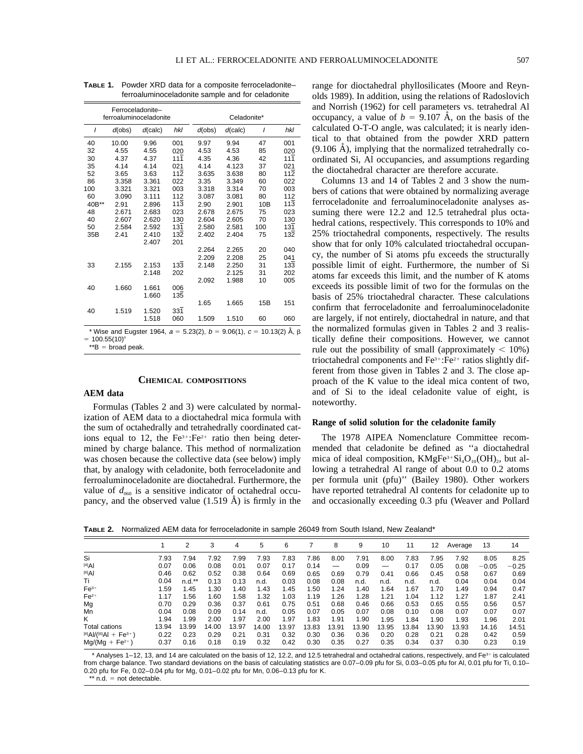|       |                         | Ferroceladonite-<br>ferroaluminoceladonite |                  | Celadonite* |            |     |                  |  |  |  |  |
|-------|-------------------------|--------------------------------------------|------------------|-------------|------------|-----|------------------|--|--|--|--|
| I     | $d$ (calc)<br>$d$ (obs) |                                            | hkl              | $d$ (obs)   | $d$ (calc) | ı   | hkl              |  |  |  |  |
| 40    | 10.00                   | 9.96                                       | 001              | 9.97        | 9.94       | 47  | 001              |  |  |  |  |
| 32    | 4.55                    | 4.55                                       | 020              | 4.53        | 4.53       | 85  | 020              |  |  |  |  |
| 30    | 4.37                    | 4.37                                       | 111              | 4.35        | 4.36       | 42  | 111              |  |  |  |  |
| 35    | 4.14                    | 4.14                                       | 021              | 4.14        | 4.123      | 37  | 021              |  |  |  |  |
| 52    | 3.65                    | 3.63                                       | $11\overline{2}$ | 3.635       | 3.638      | 80  | $11\overline{2}$ |  |  |  |  |
| 86    | 3.358                   | 3.361                                      | 022              | 3.35        | 3.349      | 60  | 022              |  |  |  |  |
| 100   | 3.321                   | 3.321                                      | 003              | 3.318       | 3.314      | 70  | 003              |  |  |  |  |
| 60    | 3.090                   | 3.111                                      | 112              | 3.087       | 3.081      | 80  | 112              |  |  |  |  |
| 40B** | 2.91                    | 2.896                                      | 113              | 2.90        | 2.901      | 10B | 113              |  |  |  |  |
| 48    | 2.671                   | 2.683                                      | 023              | 2.678       | 2.675      | 75  | 023              |  |  |  |  |
| 40    | 2.607                   | 2.620                                      | 130              | 2.604       | 2.605      | 70  | 130              |  |  |  |  |
| 50    | 2.584                   | 2.592                                      | 131              | 2.580       | 2.581      | 100 | 131              |  |  |  |  |
| 35B   | 2.41                    | 2.410                                      | 132              | 2.402       | 2.404      | 75  | 132              |  |  |  |  |
|       |                         | 2.407                                      | 201              |             |            |     |                  |  |  |  |  |
|       |                         |                                            |                  | 2.264       | 2.265      | 20  | 040              |  |  |  |  |
|       |                         |                                            |                  | 2.209       | 2.208      | 25  | 041              |  |  |  |  |
| 33    | 2.155                   | 2.153                                      | 133              | 2.148       | 2.250      | 31  | 133              |  |  |  |  |
|       |                         | 2.148                                      | 202              |             | 2.125      | 31  | 202              |  |  |  |  |
|       |                         |                                            |                  | 2.092       | 1.988      | 10  | 005              |  |  |  |  |
| 40    | 1.660                   | 1.661                                      | 006              |             |            |     |                  |  |  |  |  |
|       |                         | 1.660                                      | 135              |             |            |     |                  |  |  |  |  |
|       |                         |                                            |                  | 1.65        | 1.665      | 15B | 151              |  |  |  |  |
| 40    | 1.519                   | 1.520                                      | 331              |             |            |     |                  |  |  |  |  |
|       |                         | 1.518                                      | 060              | 1.509       | 1.510      | 60  | 060              |  |  |  |  |
|       |                         |                                            |                  |             |            |     |                  |  |  |  |  |

**TABLE 1.** Powder XRD data for a composite ferroceladonite– ferroaluminoceladonite sample and for celadonite

\* Wise and Eugster 1964,  $a = 5.23(2)$ ,  $b = 9.06(1)$ ,  $c = 10.13(2)$  Å,  $\beta$  $= 100.55(10)$ °

 $*$  $B =$  broad peak.

#### **CHEMICAL COMPOSITIONS**

# **AEM data**

Formulas (Tables 2 and 3) were calculated by normalization of AEM data to a dioctahedral mica formula with the sum of octahedrally and tetrahedrally coordinated cations equal to 12, the  $Fe^{3+}$ :  $Fe^{2+}$  ratio then being determined by charge balance. This method of normalization was chosen because the collective data (see below) imply that, by analogy with celadonite, both ferroceladonite and ferroaluminoceladonite are dioctahedral. Furthermore, the value of  $d_{060}$  is a sensitive indicator of octahedral occupancy, and the observed value  $(1.519 \text{ Å})$  is firmly in the range for dioctahedral phyllosilicates (Moore and Reynolds 1989). In addition, using the relations of Radoslovich and Norrish (1962) for cell parameters vs. tetrahedral Al occupancy, a value of  $b = 9.107$  Å, on the basis of the calculated O-T-O angle, was calculated; it is nearly identical to that obtained from the powder XRD pattern  $(9.106 \text{ Å})$ , implying that the normalized tetrahedrally coordinated Si, Al occupancies, and assumptions regarding the dioctahedral character are therefore accurate.

Columns 13 and 14 of Tables 2 and 3 show the numbers of cations that were obtained by normalizing average ferroceladonite and ferroaluminoceladonite analyses assuming there were 12.2 and 12.5 tetrahedral plus octahedral cations, respectively. This corresponds to 10% and 25% trioctahedral components, respectively. The results show that for only 10% calculated trioctahedral occupancy, the number of Si atoms pfu exceeds the structurally possible limit of eight. Furthermore, the number of Si atoms far exceeds this limit, and the number of K atoms exceeds its possible limit of two for the formulas on the basis of 25% trioctahedral character. These calculations confirm that ferroceladonite and ferroaluminoceladonite are largely, if not entirely, dioctahedral in nature, and that the normalized formulas given in Tables 2 and 3 realistically define their compositions. However, we cannot rule out the possibility of small (approximately  $< 10\%$ ) trioctahedral components and  $Fe<sup>3+</sup>:Fe<sup>2+</sup>$  ratios slightly different from those given in Tables 2 and 3. The close approach of the K value to the ideal mica content of two, and of Si to the ideal celadonite value of eight, is noteworthy.

#### **Range of solid solution for the celadonite family**

The 1978 AIPEA Nomenclature Committee recommended that celadonite be defined as ''a dioctahedral mica of ideal composition,  $KMgFe^{3+}Si<sub>4</sub>O<sub>10</sub>(OH)<sub>2</sub>$ , but allowing a tetrahedral Al range of about 0.0 to 0.2 atoms per formula unit (pfu)'' (Bailey 1980). Other workers have reported tetrahedral Al contents for celadonite up to and occasionally exceeding 0.3 pfu (Weaver and Pollard

**TABLE 2.** Normalized AEM data for ferroceladonite in sample 26049 from South Island, New Zealand\*

|                                          |       | ◠        | 3     | 4     | 5     | 6     |       | 8                        | 9     | 10    | 11    | 12    | Average | 13      | 14      |
|------------------------------------------|-------|----------|-------|-------|-------|-------|-------|--------------------------|-------|-------|-------|-------|---------|---------|---------|
| Si                                       | 7.93  | 7.94     | 7.92  | 7.99  | 7.93  | 7.83  | 7.86  | 8.00                     | 7.91  | 8.00  | 7.83  | 7.95  | 7.92    | 8.05    | 8.25    |
| $[4]$ Al                                 | 0.07  | 0.06     | 0.08  | 0.01  | 0.07  | 0.17  | 0.14  | $\overline{\phantom{m}}$ | 0.09  | —     | 0.17  | 0.05  | 0.08    | $-0.05$ | $-0.25$ |
| $[6]$ Al                                 | 0.46  | 0.62     | 0.52  | 0.38  | 0.64  | 0.69  | 0.65  | 0.69                     | 0.79  | 0.41  | 0.66  | 0.45  | 0.58    | 0.67    | 0.69    |
| Τi                                       | 0.04  | $n.d.**$ | 0.13  | 0.13  | n.d.  | 0.03  | 0.08  | 0.08                     | n.d.  | n.d.  | n.d.  | n.d.  | 0.04    | 0.04    | 0.04    |
| $Fe3+$                                   | 1.59  | 1.45     | 1.30  | 1.40  | .43   | 1.45  | 1.50  | 1.24                     | 1.40  | 1.64  | 1.67  | 1.70  | 1.49    | 0.94    | 0.47    |
| $Fe2+$                                   | 1.17  | 1.56     | 1.60  | 1.58  | 1.32  | 1.03  | 1.19  | 1.26                     | 1.28  | 1.21  | 1.04  | 1.12  | 1.27    | 1.87    | 2.41    |
| Mg                                       | 0.70  | 0.29     | 0.36  | 0.37  | 0.61  | 0.75  | 0.51  | 0.68                     | 0.46  | 0.66  | 0.53  | 0.65  | 0.55    | 0.56    | 0.57    |
| Mn                                       | 0.04  | 0.08     | 0.09  | 0.14  | n.d.  | 0.05  | 0.07  | 0.05                     | 0.07  | 0.08  | 0.10  | 0.08  | 0.07    | 0.07    | 0.07    |
| Κ                                        | 1.94  | 1.99     | 2.00  | 1.97  | 2.00  | 1.97  | 1.83  | 1.91                     | 1.90  | 1.95  | 1.84  | 1.90  | 1.93    | 1.96    | 2.01    |
| Total cations                            | 13.94 | 13.99    | 14.00 | 13.97 | 14.00 | 13.97 | 13.83 | 13.91                    | 13.90 | 13.95 | 13.84 | 13.90 | 13.93   | 14.16   | 14.51   |
| $[6]$ Al/( $[6]$ Al + Fe <sup>3+</sup> ) | 0.22  | 0.23     | 0.29  | 0.21  | 0.31  | 0.32  | 0.30  | 0.36                     | 0.36  | 0.20  | 0.28  | 0.21  | 0.28    | 0.42    | 0.59    |
| $Mg/(Mg + Fe^{2+})$                      | 0.37  | 0.16     | 0.18  | 0.19  | 0.32  | 0.42  | 0.30  | 0.35                     | 0.27  | 0.35  | 0.34  | 0.37  | 0.30    | 0.23    | 0.19    |

\* Analyses 1-12, 13, and 14 are calculated on the basis of 12, 12.2, and 12.5 tetrahedral and octahedral cations, respectively, and Fe<sup>3+</sup> is calculated from charge balance. Two standard deviations on the basis of calculating statistics are 0.07–0.09 pfu for Si, 0.03–0.05 pfu for Al, 0.01 pfu for Ti, 0.10– 0.20 pfu for Fe, 0.02–0.04 pfu for Mg, 0.01–0.02 pfu for Mn, 0.06–0.13 pfu for K.

 $**$  n.d. = not detectable.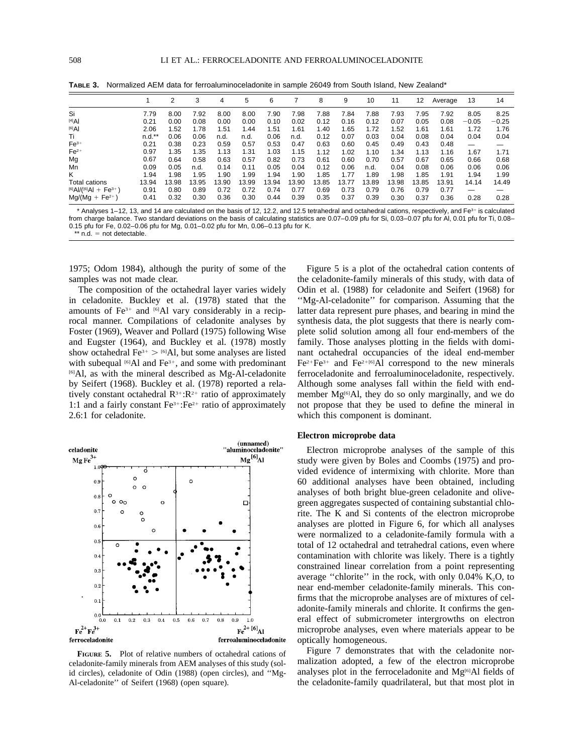|                                        |          | 2     | 3     | 4     | 5     | 6     |       | 8     | 9     | 10    | 11    | 12    | Average | 13      | 14      |
|----------------------------------------|----------|-------|-------|-------|-------|-------|-------|-------|-------|-------|-------|-------|---------|---------|---------|
| Si                                     | 7.79     | 8.00  | 7.92  | 8.00  | 8.00  | 7.90  | 7.98  | 7.88  | 7.84  | 7.88  | 7.93  | 7.95  | 7.92    | 8.05    | 8.25    |
| $[4]$ Al                               | 0.21     | 0.00  | 0.08  | 0.00  | 0.00  | 0.10  | 0.02  | 0.12  | 0.16  | 0.12  | 0.07  | 0.05  | 0.08    | $-0.05$ | $-0.25$ |
| $[6]$ Al                               | 2.06     | 1.52  | 1.78  | 1.51  | 1.44  | 1.51  | 1.61  | 1.40  | 1.65  | 1.72  | 1.52  | 1.61  | 1.61    | 1.72    | 1.76    |
| Τi                                     | $n.d.**$ | 0.06  | 0.06  | n.d.  | n.d.  | 0.06  | n.d.  | 0.12  | 0.07  | 0.03  | 0.04  | 0.08  | 0.04    | 0.04    | 0.04    |
| $Fe3+$                                 | 0.21     | 0.38  | 0.23  | 0.59  | 0.57  | 0.53  | 0.47  | 0.63  | 0.60  | 0.45  | 0.49  | 0.43  | 0.48    | —       |         |
| $Fe2+$                                 | 0.97     | 1.35  | 1.35  | 1.13  | 1.31  | 1.03  | 1.15  | 1.12  | 1.02  | 1.10  | 1.34  | 1.13  | 1.16    | 1.67    | 1.71    |
| Mg                                     | 0.67     | 0.64  | 0.58  | 0.63  | 0.57  | 0.82  | 0.73  | 0.61  | 0.60  | 0.70  | 0.57  | 0.67  | 0.65    | 0.66    | 0.68    |
| Mn                                     | 0.09     | 0.05  | n.d.  | 0.14  | 0.11  | 0.05  | 0.04  | 0.12  | 0.06  | n.d.  | 0.04  | 0.08  | 0.06    | 0.06    | 0.06    |
| Κ                                      | 1.94     | 1.98  | 1.95  | 1.90  | 1.99  | 1.94  | 1.90  | 1.85  | 1.77  | 1.89  | 1.98  | 1.85  | 1.91    | 1.94    | 1.99    |
| Total cations                          | 13.94    | 13.98 | 13.95 | 13.90 | 13.99 | 13.94 | 13.90 | 13.85 | 13.77 | 13.89 | 13.98 | 13.85 | 13.91   | 14.14   | 14.49   |
| $[6]$ AI/( $[6]$ AI + Fe <sup>3+</sup> | 0.91     | 0.80  | 0.89  | 0.72  | 0.72  | 0.74  | 0.77  | 0.69  | 0.73  | 0.79  | 0.76  | 0.79  | 0.77    | —       |         |
| $Mg/(Mg + Fe^{2+})$                    | 0.41     | 0.32  | 0.30  | 0.36  | 0.30  | 0.44  | 0.39  | 0.35  | 0.37  | 0.39  | 0.30  | 0.37  | 0.36    | 0.28    | 0.28    |

**TABLE 3.** Normalized AEM data for ferroaluminoceladonite in sample 26049 from South Island, New Zealand\*

\* Analyses 1-12, 13, and 14 are calculated on the basis of 12, 12.2, and 12.5 tetrahedral and octahedral cations, respectively, and Fe<sup>3+</sup> is calculated from charge balance. Two standard deviations on the basis of calculating statistics are 0.07–0.09 pfu for Si, 0.03–0.07 pfu for Al, 0.01 pfu for Ti, 0.08– 0.15 pfu for Fe, 0.02–0.06 pfu for Mg, 0.01–0.02 pfu for Mn, 0.06–0.13 pfu for K.  $**$  n.d. = not detectable.

1975; Odom 1984), although the purity of some of the samples was not made clear.

The composition of the octahedral layer varies widely in celadonite. Buckley et al. (1978) stated that the amounts of  $Fe<sup>3+</sup>$  and <sup>[6]</sup>Al vary considerably in a reciprocal manner. Compilations of celadonite analyses by Foster (1969), Weaver and Pollard (1975) following Wise and Eugster (1964), and Buckley et al. (1978) mostly show octahedral  $Fe^{3+} > 6$ ]Al, but some analyses are listed with subequal  $[6]$ Al and Fe<sup>3+</sup>, and some with predominant [6]Al, as with the mineral described as Mg-Al-celadonite by Seifert (1968). Buckley et al. (1978) reported a relatively constant octahedral  $R^{3+}:R^{2+}$  ratio of approximately 1:1 and a fairly constant  $Fe^{3+} : Fe^{2+}$  ratio of approximately 2.6:1 for celadonite.



**FIGURE 5.** Plot of relative numbers of octahedral cations of celadonite-family minerals from AEM analyses of this study (solid circles), celadonite of Odin (1988) (open circles), and ''Mg-Al-celadonite'' of Seifert (1968) (open square).

Figure 5 is a plot of the octahedral cation contents of the celadonite-family minerals of this study, with data of Odin et al. (1988) for celadonite and Seifert (1968) for ''Mg-Al-celadonite'' for comparison. Assuming that the latter data represent pure phases, and bearing in mind the synthesis data, the plot suggests that there is nearly complete solid solution among all four end-members of the family. Those analyses plotting in the fields with dominant octahedral occupancies of the ideal end-member  $Fe^{2+}Fe^{3+}$  and  $Fe^{2+[6]}Al$  correspond to the new minerals ferroceladonite and ferroaluminoceladonite, respectively. Although some analyses fall within the field with endmember  $Mg^{[6]}Al$ , they do so only marginally, and we do not propose that they be used to define the mineral in which this component is dominant.

## **Electron microprobe data**

Electron microprobe analyses of the sample of this study were given by Boles and Coombs (1975) and provided evidence of intermixing with chlorite. More than 60 additional analyses have been obtained, including analyses of both bright blue-green celadonite and olivegreen aggregates suspected of containing substantial chlorite. The K and Si contents of the electron microprobe analyses are plotted in Figure 6, for which all analyses were normalized to a celadonite-family formula with a total of 12 octahedral and tetrahedral cations, even where contamination with chlorite was likely. There is a tightly constrained linear correlation from a point representing average "chlorite" in the rock, with only  $0.04\%$  K<sub>2</sub>O, to near end-member celadonite-family minerals. This confirms that the microprobe analyses are of mixtures of celadonite-family minerals and chlorite. It confirms the general effect of submicrometer intergrowths on electron microprobe analyses, even where materials appear to be optically homogeneous.

Figure 7 demonstrates that with the celadonite normalization adopted, a few of the electron microprobe analyses plot in the ferroceladonite and Mg<sup>[6]</sup>Al fields of the celadonite-family quadrilateral, but that most plot in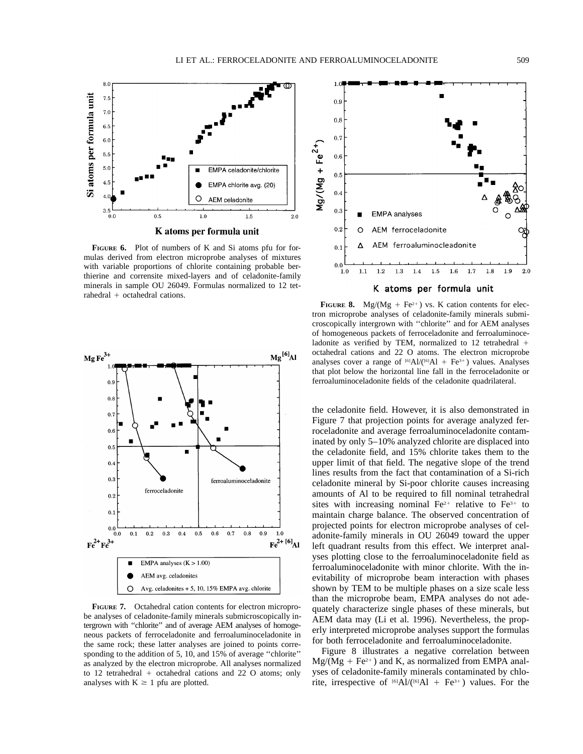

**FIGURE 6.** Plot of numbers of K and Si atoms pfu for formulas derived from electron microprobe analyses of mixtures with variable proportions of chlorite containing probable berthierine and corrensite mixed-layers and of celadonite-family minerals in sample OU 26049. Formulas normalized to 12 tet $rahedral + octahedral cations.$ 



**FIGURE 7.** Octahedral cation contents for electron microprobe analyses of celadonite-family minerals submicroscopically intergrown with ''chlorite'' and of average AEM analyses of homogeneous packets of ferroceladonite and ferroaluminoceladonite in the same rock; these latter analyses are joined to points corresponding to the addition of 5, 10, and 15% of average ''chlorite'' as analyzed by the electron microprobe. All analyses normalized to 12 tetrahedral  $+$  octahedral cations and 22 O atoms; only analyses with  $K \geq 1$  pfu are plotted.



**FIGURE 8.** Mg/(Mg + Fe<sup>2+</sup>) vs. K cation contents for electron microprobe analyses of celadonite-family minerals submicroscopically intergrown with ''chlorite'' and for AEM analyses of homogeneous packets of ferroceladonite and ferroaluminoceladonite as verified by TEM, normalized to 12 tetrahedral  $+$ octahedral cations and 22 O atoms. The electron microprobe analyses cover a range of  $[6]$ Al/( $[6]$ Al + Fe<sup>3+</sup>) values. Analyses that plot below the horizontal line fall in the ferroceladonite or ferroaluminoceladonite fields of the celadonite quadrilateral.

the celadonite field. However, it is also demonstrated in Figure 7 that projection points for average analyzed ferroceladonite and average ferroaluminoceladonite contaminated by only 5–10% analyzed chlorite are displaced into the celadonite field, and 15% chlorite takes them to the upper limit of that field. The negative slope of the trend lines results from the fact that contamination of a Si-rich celadonite mineral by Si-poor chlorite causes increasing amounts of Al to be required to fill nominal tetrahedral sites with increasing nominal  $Fe^{2+}$  relative to  $Fe^{3+}$  to maintain charge balance. The observed concentration of projected points for electron microprobe analyses of celadonite-family minerals in OU 26049 toward the upper left quadrant results from this effect. We interpret analyses plotting close to the ferroaluminoceladonite field as ferroaluminoceladonite with minor chlorite. With the inevitability of microprobe beam interaction with phases shown by TEM to be multiple phases on a size scale less than the microprobe beam, EMPA analyses do not adequately characterize single phases of these minerals, but AEM data may (Li et al. 1996). Nevertheless, the properly interpreted microprobe analyses support the formulas for both ferroceladonite and ferroaluminoceladonite.

Figure 8 illustrates a negative correlation between  $Mg/(Mg + Fe^{2+})$  and K, as normalized from EMPA analyses of celadonite-family minerals contaminated by chlorite, irrespective of  $^{[6]}$ Al/( $^{[6]}$ Al + Fe<sup>3+</sup>) values. For the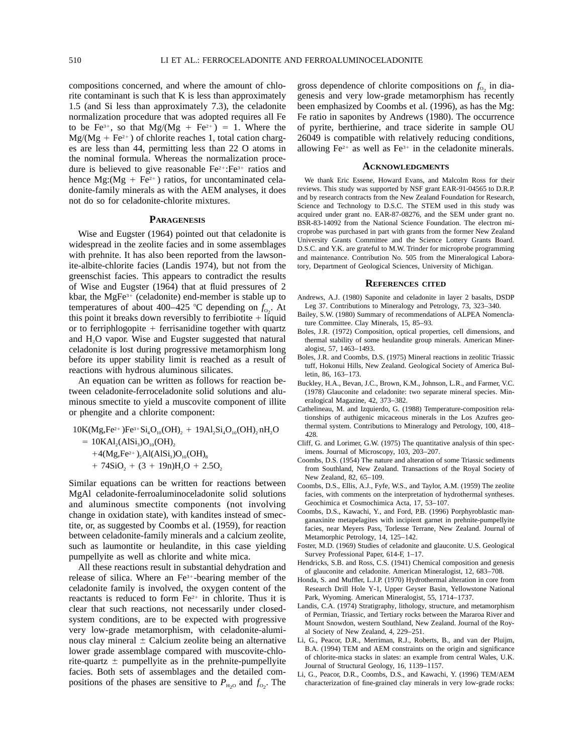compositions concerned, and where the amount of chlorite contaminant is such that K is less than approximately 1.5 (and Si less than approximately 7.3), the celadonite normalization procedure that was adopted requires all Fe to be Fe<sup>3+</sup>, so that  $Mg/(Mg + Fe^{2+}) = 1$ . Where the  $Mg/(Mg + Fe^{2+})$  of chlorite reaches 1, total cation charges are less than 44, permitting less than 22 O atoms in the nominal formula. Whereas the normalization procedure is believed to give reasonable  $Fe^{2+} : Fe^{3+}$  ratios and hence Mg:(Mg + Fe<sup>2+</sup>) ratios, for uncontaminated celadonite-family minerals as with the AEM analyses, it does not do so for celadonite-chlorite mixtures.

### **PARAGENESIS**

Wise and Eugster (1964) pointed out that celadonite is widespread in the zeolite facies and in some assemblages with prehnite. It has also been reported from the lawsonite-albite-chlorite facies (Landis 1974), but not from the greenschist facies. This appears to contradict the results of Wise and Eugster (1964) that at fluid pressures of 2 kbar, the MgFe $3+$  (celadonite) end-member is stable up to temperatures of about 400–425 °C depending on  $f_{O_2}$ . At this point it breaks down reversibly to ferribiotite  $+$  liquid or to ferriphlogopite  $+$  ferrisanidine together with quartz and H<sub>2</sub>O vapor. Wise and Eugster suggested that natural celadonite is lost during progressive metamorphism long before its upper stability limit is reached as a result of reactions with hydrous aluminous silicates.

An equation can be written as follows for reaction between celadonite-ferroceladonite solid solutions and aluminous smectite to yield a muscovite component of illite or phengite and a chlorite component:

 $10K(Mg,Fe^{2+})Fe^{3+}Si<sub>4</sub>O<sub>10</sub>(OH)<sub>2</sub> + 19Al<sub>2</sub>Si<sub>4</sub>O<sub>10</sub>(OH)<sub>2</sub> nH<sub>2</sub>O$  $= 10KAI<sub>2</sub>(AISi<sub>3</sub>)O<sub>10</sub>(OH),$  $+4(Mg,Fe^{2+})_5 Al(AlSi<sub>3</sub>)O<sub>10</sub>(OH)<sub>8</sub>$  $+ 74SiO<sub>2</sub> + (3 + 19n)H<sub>2</sub>O + 2.5O<sub>2</sub>$ 

Similar equations can be written for reactions between MgAl celadonite-ferroaluminoceladonite solid solutions and aluminous smectite components (not involving change in oxidation state), with kandites instead of smectite, or, as suggested by Coombs et al. (1959), for reaction between celadonite-family minerals and a calcium zeolite, such as laumontite or heulandite, in this case yielding pumpellyite as well as chlorite and white mica.

All these reactions result in substantial dehydration and release of silica. Where an  $Fe<sup>3+</sup>$ -bearing member of the celadonite family is involved, the oxygen content of the reactants is reduced to form  $Fe<sup>2+</sup>$  in chlorite. Thus it is clear that such reactions, not necessarily under closedsystem conditions, are to be expected with progressive very low-grade metamorphism, with celadonite-aluminous clay mineral  $\pm$  Calcium zeolite being an alternative lower grade assemblage compared with muscovite-chlorite-quartz  $\pm$  pumpellyite as in the prehnite-pumpellyite facies. Both sets of assemblages and the detailed compositions of the phases are sensitive to  $P_{\text{H}_2\text{O}}$  and  $f_{\text{O}_2}$ . The

gross dependence of chlorite compositions on  $f_{\text{o}_2}$  in diagenesis and very low-grade metamorphism has recently been emphasized by Coombs et al. (1996), as has the Mg: Fe ratio in saponites by Andrews (1980). The occurrence of pyrite, berthierine, and trace siderite in sample OU 26049 is compatible with relatively reducing conditions, allowing  $Fe^{2+}$  as well as  $Fe^{3+}$  in the celadonite minerals.

#### **ACKNOWLEDGMENTS**

We thank Eric Essene, Howard Evans, and Malcolm Ross for their reviews. This study was supported by NSF grant EAR-91-04565 to D.R.P. and by research contracts from the New Zealand Foundation for Research, Science and Technology to D.S.C. The STEM used in this study was acquired under grant no. EAR-87-08276, and the SEM under grant no. BSR-83-14092 from the National Science Foundation. The electron microprobe was purchased in part with grants from the former New Zealand University Grants Committee and the Science Lottery Grants Board. D.S.C. and Y.K. are grateful to M.W. Trinder for microprobe programming and maintenance. Contribution No. 505 from the Mineralogical Laboratory, Department of Geological Sciences, University of Michigan.

#### **REFERENCES CITED**

- Andrews, A.J. (1980) Saponite and celadonite in layer 2 basalts, DSDP Leg 37. Contributions to Mineralogy and Petrology, 73, 323–340.
- Bailey, S.W. (1980) Summary of recommendations of ALPEA Nomenclature Committee. Clay Minerals, 15, 85–93.
- Boles, J.R. (1972) Composition, optical properties, cell dimensions, and thermal stability of some heulandite group minerals. American Mineralogist, 57, 1463–1493.
- Boles, J.R. and Coombs, D.S. (1975) Mineral reactions in zeolitic Triassic tuff, Hokonui Hills, New Zealand. Geological Society of America Bulletin, 86, 163–173.
- Buckley, H.A., Bevan, J.C., Brown, K.M., Johnson, L.R., and Farmer, V.C. (1978) Glauconite and celadonite: two separate mineral species. Mineralogical Magazine, 42, 373–382.
- Cathelineau, M. and Izquierdo, G. (1988) Temperature-composition relationships of authigenic micaceous minerals in the Los Azufres geothermal system. Contributions to Mineralogy and Petrology, 100, 418– 428.
- Cliff, G. and Lorimer, G.W. (1975) The quantitative analysis of thin specimens. Journal of Microscopy, 103, 203–207.
- Coombs, D.S. (1954) The nature and alteration of some Triassic sediments from Southland, New Zealand. Transactions of the Royal Society of New Zealand, 82, 65–109.
- Coombs, D.S., Ellis, A.J., Fyfe, W.S., and Taylor, A.M. (1959) The zeolite facies, with comments on the interpretation of hydrothermal syntheses. Geochimica et Cosmochimica Acta, 17, 53–107.
- Coombs, D.S., Kawachi, Y., and Ford, P.B. (1996) Porphyroblastic manganaxinite metapelagites with incipient garnet in prehnite-pumpellyite facies, near Meyers Pass, Torlesse Terrane, New Zealand. Journal of Metamorphic Petrology, 14, 125–142.
- Foster, M.D. (1969) Studies of celadonite and glauconite. U.S. Geological Survey Professional Paper, 614-F, 1–17.
- Hendricks, S.B. and Ross, C.S. (1941) Chemical composition and genesis of glauconite and celadonite. American Mineralogist, 12, 683–708.
- Honda, S. and Muffler, L.J.P. (1970) Hydrothermal alteration in core from Research Drill Hole Y-1, Upper Geyser Basin, Yellowstone National Park, Wyoming. American Mineralogist, 55, 1714–1737.
- Landis, C.A. (1974) Stratigraphy, lithology, structure, and metamorphism of Permian, Triassic, and Tertiary rocks between the Mararoa River and Mount Snowdon, western Southland, New Zealand. Journal of the Royal Society of New Zealand, 4, 229–251.
- Li, G., Peacor, D.R., Merriman, R.J., Roberts, B., and van der Pluijm, B.A. (1994) TEM and AEM constraints on the origin and significance of chlorite-mica stacks in slates: an example from central Wales, U.K. Journal of Structural Geology, 16, 1139–1157.
- Li, G., Peacor, D.R., Coombs, D.S., and Kawachi, Y. (1996) TEM/AEM characterization of fine-grained clay minerals in very low-grade rocks: